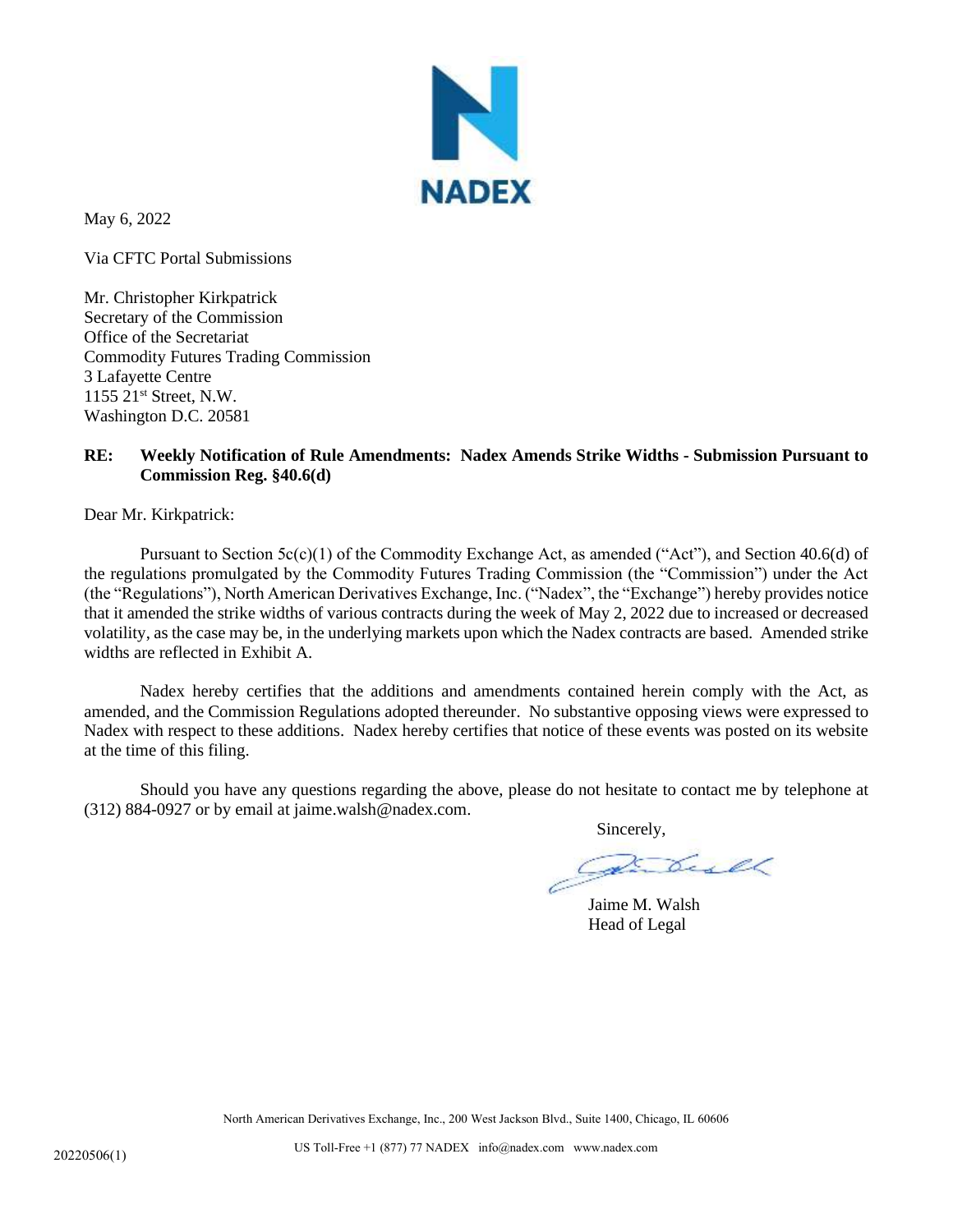

May 6, 2022

Via CFTC Portal Submissions

Mr. Christopher Kirkpatrick Secretary of the Commission Office of the Secretariat Commodity Futures Trading Commission 3 Lafayette Centre 1155 21st Street, N.W. Washington D.C. 20581

## **RE: Weekly Notification of Rule Amendments: Nadex Amends Strike Widths - Submission Pursuant to Commission Reg. §40.6(d)**

Dear Mr. Kirkpatrick:

Pursuant to Section  $5c(c)(1)$  of the Commodity Exchange Act, as amended ("Act"), and Section 40.6(d) of the regulations promulgated by the Commodity Futures Trading Commission (the "Commission") under the Act (the "Regulations"), North American Derivatives Exchange, Inc. ("Nadex", the "Exchange") hereby provides notice that it amended the strike widths of various contracts during the week of May 2, 2022 due to increased or decreased volatility, as the case may be, in the underlying markets upon which the Nadex contracts are based. Amended strike widths are reflected in Exhibit A.

Nadex hereby certifies that the additions and amendments contained herein comply with the Act, as amended, and the Commission Regulations adopted thereunder. No substantive opposing views were expressed to Nadex with respect to these additions. Nadex hereby certifies that notice of these events was posted on its website at the time of this filing.

Should you have any questions regarding the above, please do not hesitate to contact me by telephone at (312) 884-0927 or by email at jaime.walsh@nadex.com.

Sincerely,

Jaime M. Walsh Head of Legal